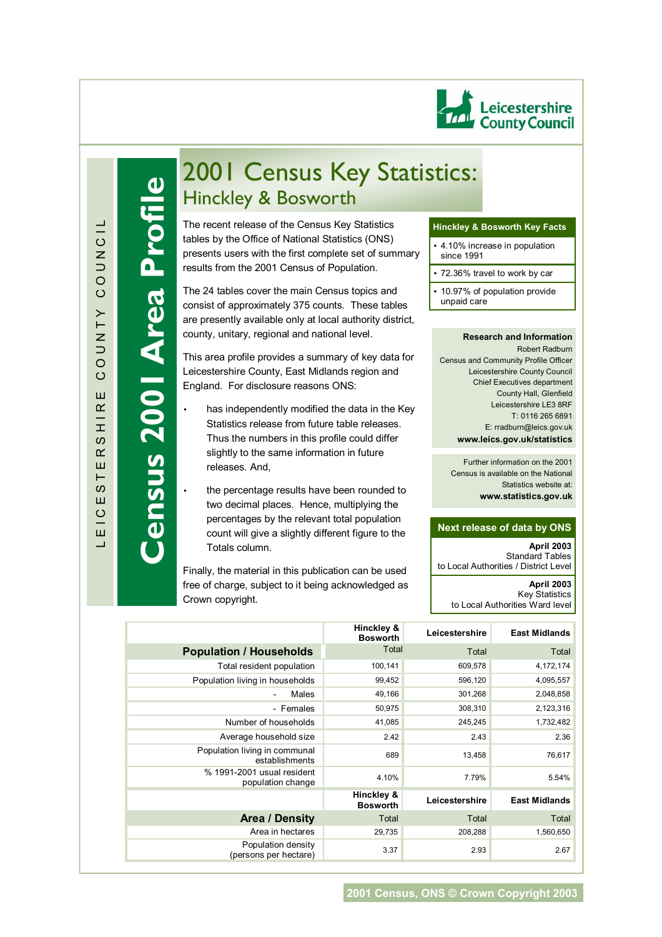

**Census 2001 Area Profile**

ensus 2001 Area Profile

# 2001 Census Key Statistics: Hinckley & Bosworth

tables by the Office of National Statistics (ONS)<br>presents users with the first complete set of summary The recent release of the Census Key Statistics tables by the Office of National Statistics (ONS) results from the 2001 Census of Population.

The 24 tables cover the main Census topics and consist of approximately 375 counts. These tables are presently available only at local authority district, county, unitary, regional and national level.

This area profile provides a summary of key data for Leicestershire County, East Midlands region and England. For disclosure reasons ONS:

- has independently modified the data in the Key Statistics release from future table releases. Thus the numbers in this profile could differ slightly to the same information in future releases. And,
- the percentage results have been rounded to two decimal places. Hence, multiplying the percentages by the relevant total population count will give a slightly different figure to the Totals column.

Finally, the material in this publication can be used free of charge, subject to it being acknowledged as Crown copyright.

#### **Hinckley & Bosworth Key Facts**

- 4.10% increase in population since 1991
- 72.36% travel to work by car
- 10.97% of population provide unpaid care

#### **Research and Information**

Robert Radburn Census and Community Profile Officer Leicestershire County Council Chief Executives department County Hall, Glenfield Leicestershire LE3 8RF T: 0116 265 6891 E: rradburn@leics.gov.uk **www.leics.gov.uk/statistics**

Further information on the 2001 Census is available on the National Statistics website at: **www.statistics.gov.uk**

#### **Next release of data by ONS**

**April 2003**  Standard Tables to Local Authorities / District Level **April 2003** Key Statistics to Local Authorities Ward level

|                                                 | Hinckley &<br><b>Bosworth</b> | Leicestershire | <b>East Midlands</b> |
|-------------------------------------------------|-------------------------------|----------------|----------------------|
| <b>Population / Households</b>                  | Total                         | Total          | Total                |
| Total resident population                       | 100,141                       | 609,578        | 4,172,174            |
| Population living in households                 | 99,452                        | 596,120        | 4,095,557            |
| Males                                           | 49,166                        | 301,268        | 2,048,858            |
| - Females                                       | 50,975                        | 308,310        | 2,123,316            |
| Number of households                            | 41,085                        | 245,245        | 1,732,482            |
| Average household size                          | 2.42                          | 2.43           | 2.36                 |
| Population living in communal<br>establishments | 689                           | 13,458         | 76,617               |
| % 1991-2001 usual resident<br>population change | 4.10%                         | 7.79%          | 5.54%                |
|                                                 | Hinckley &<br><b>Bosworth</b> | Leicestershire | <b>East Midlands</b> |
| <b>Area / Density</b>                           | Total                         | Total          | Total                |
| Area in hectares                                | 29,735                        | 208,288        | 1,560,650            |
| Population density<br>(persons per hectare)     | 3.37                          | 2.93           | 2.67                 |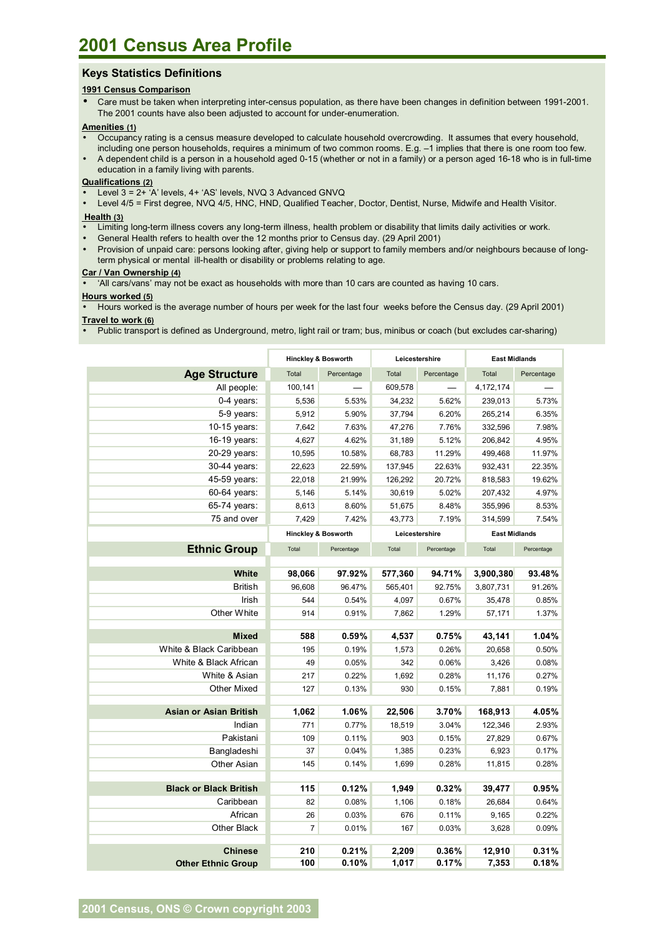## **Keys Statistics Definitions**

#### **1991 Census Comparison**

• Care must be taken when interpreting inter-census population, as there have been changes in definition between 1991-2001. The 2001 counts have also been adjusted to account for under-enumeration.

#### **Amenities (1)**

- Occupancy rating is a census measure developed to calculate household overcrowding. It assumes that every household, including one person households, requires a minimum of two common rooms. E.g. -1 implies that there is one room too few.
- A dependent child is a person in a household aged 0-15 (whether or not in a family) or a person aged 16-18 who is in full-time education in a family living with parents.

### **Qualifications (2)**

- Level 3 = 2+ 'A' levels, 4+ 'AS' levels, NVQ 3 Advanced GNVQ
- Level 4/5 = First degree, NVQ 4/5, HNC, HND, Qualified Teacher, Doctor, Dentist, Nurse, Midwife and Health Visitor.

#### **Health (3)**

- Limiting long-term illness covers any long-term illness, health problem or disability that limits daily activities or work.
- General Health refers to health over the 12 months prior to Census day. (29 April 2001)
- Provision of unpaid care: persons looking after, giving help or support to family members and/or neighbours because of longterm physical or mental ill-health or disability or problems relating to age.

#### **Car / Van Ownership (4)**

• ëAll cars/vansí may not be exact as households with more than 10 cars are counted as having 10 cars.

#### **Hours worked (5)**

• Hours worked is the average number of hours per week for the last four weeks before the Census day. (29 April 2001) **Travel to work (6)**

• Public transport is defined as Underground, metro, light rail or tram; bus, minibus or coach (but excludes car-sharing)

|                               | <b>Hinckley &amp; Bosworth</b> |            | Leicestershire |            | <b>East Midlands</b> |            |
|-------------------------------|--------------------------------|------------|----------------|------------|----------------------|------------|
| <b>Age Structure</b>          | Total                          | Percentage | Total          | Percentage | Total                | Percentage |
| All people:                   | 100,141                        |            | 609,578        |            | 4,172,174            |            |
| 0-4 years:                    | 5,536                          | 5.53%      | 34,232         | 5.62%      | 239,013              | 5.73%      |
| 5-9 years:                    | 5,912                          | 5.90%      | 37,794         | 6.20%      | 265,214              | 6.35%      |
| 10-15 years:                  | 7,642                          | 7.63%      | 47,276         | 7.76%      | 332,596              | 7.98%      |
| 16-19 years:                  | 4,627                          | 4.62%      | 31,189         | 5.12%      | 206,842              | 4.95%      |
| 20-29 years:                  | 10,595                         | 10.58%     | 68,783         | 11.29%     | 499,468              | 11.97%     |
| 30-44 years:                  | 22,623                         | 22.59%     | 137,945        | 22.63%     | 932,431              | 22.35%     |
| 45-59 years:                  | 22,018                         | 21.99%     | 126,292        | 20.72%     | 818,583              | 19.62%     |
| 60-64 years:                  | 5,146                          | 5.14%      | 30,619         | 5.02%      | 207,432              | 4.97%      |
| 65-74 years:                  | 8,613                          | 8.60%      | 51,675         | 8.48%      | 355,996              | 8.53%      |
| 75 and over                   | 7,429                          | 7.42%      | 43,773         | 7.19%      | 314,599              | 7.54%      |
|                               | <b>Hinckley &amp; Bosworth</b> |            | Leicestershire |            | <b>East Midlands</b> |            |
| <b>Ethnic Group</b>           | Total                          | Percentage | Total          | Percentage | Total                | Percentage |
|                               |                                |            |                |            |                      |            |
| White                         | 98,066                         | 97.92%     | 577,360        | 94.71%     | 3,900,380            | 93.48%     |
| <b>British</b>                | 96,608                         | 96.47%     | 565,401        | 92.75%     | 3,807,731            | 91.26%     |
| Irish                         | 544                            | 0.54%      | 4,097          | 0.67%      | 35,478               | 0.85%      |
| Other White                   | 914                            | 0.91%      | 7,862          | 1.29%      | 57,171               | 1.37%      |
|                               |                                |            |                |            |                      |            |
| <b>Mixed</b>                  | 588                            | 0.59%      | 4,537          | 0.75%      | 43,141               | 1.04%      |
| White & Black Caribbean       | 195                            | 0.19%      | 1,573          | 0.26%      | 20,658               | 0.50%      |
| White & Black African         | 49                             | 0.05%      | 342            | 0.06%      | 3,426                | 0.08%      |
| White & Asian                 | 217                            | 0.22%      | 1,692          | 0.28%      | 11,176               | 0.27%      |
| Other Mixed                   | 127                            | 0.13%      | 930            | 0.15%      | 7,881                | 0.19%      |
| <b>Asian or Asian British</b> | 1,062                          | 1.06%      | 22,506         | 3.70%      | 168,913              | 4.05%      |
| Indian                        | 771                            | 0.77%      | 18,519         | 3.04%      | 122,346              | 2.93%      |
| Pakistani                     | 109                            | 0.11%      | 903            | 0.15%      | 27,829               | 0.67%      |
| Bangladeshi                   | 37                             | 0.04%      | 1,385          | 0.23%      | 6,923                | 0.17%      |
| <b>Other Asian</b>            | 145                            | 0.14%      | 1,699          | 0.28%      | 11,815               | 0.28%      |
|                               |                                |            |                |            |                      |            |
| <b>Black or Black British</b> | 115                            | 0.12%      | 1,949          | 0.32%      | 39,477               | 0.95%      |
| Caribbean                     | 82                             | 0.08%      | 1,106          | 0.18%      | 26,684               | 0.64%      |
| African                       | 26                             | 0.03%      | 676            | 0.11%      | 9,165                | 0.22%      |
| Other Black                   | $\overline{7}$                 | 0.01%      | 167            | 0.03%      | 3,628                | 0.09%      |
|                               |                                |            |                |            |                      |            |
| <b>Chinese</b>                | 210                            | 0.21%      | 2,209          | 0.36%      | 12,910               | 0.31%      |
| <b>Other Ethnic Group</b>     | 100                            | 0.10%      | 1,017          | 0.17%      | 7,353                | 0.18%      |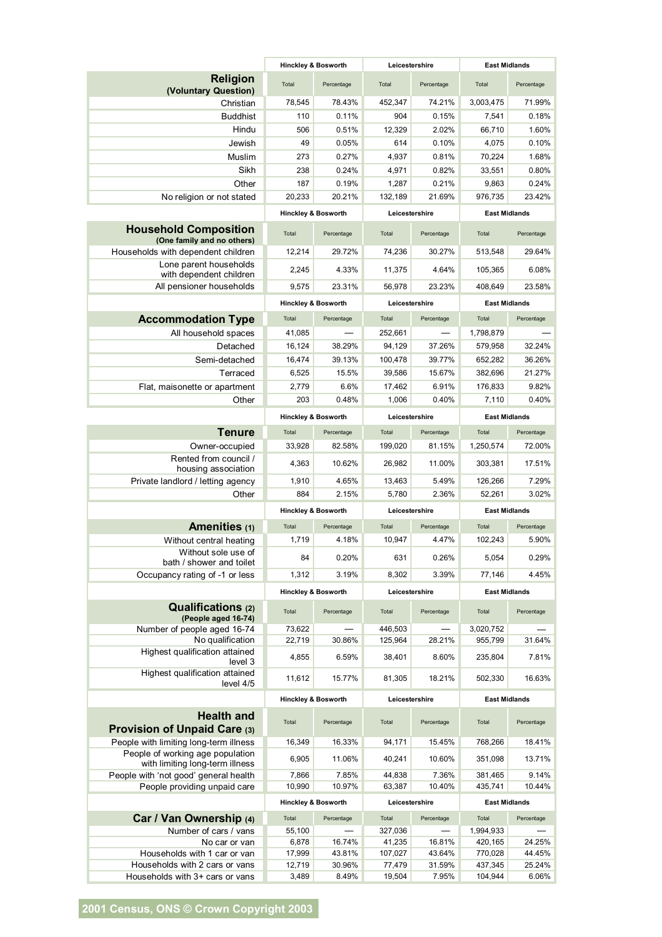|                                                                     | <b>Hinckley &amp; Bosworth</b> |                                | Leicestershire    |                  | <b>East Midlands</b> |                      |                      |  |
|---------------------------------------------------------------------|--------------------------------|--------------------------------|-------------------|------------------|----------------------|----------------------|----------------------|--|
| Religion<br>(Voluntary Question)                                    | Total                          | Percentage                     | Total             | Percentage       | Total                | Percentage           |                      |  |
| Christian                                                           | 78,545                         | 78.43%                         | 452,347           | 74.21%           | 3,003,475            | 71.99%               |                      |  |
| <b>Buddhist</b>                                                     | 110                            | 0.11%                          | 904               | 0.15%            | 7,541                | 0.18%                |                      |  |
| Hindu                                                               | 506                            | 0.51%                          | 12,329            | 2.02%            | 66.710               | 1.60%                |                      |  |
| Jewish                                                              | 49                             | 0.05%                          | 614               | 0.10%            | 4,075                | 0.10%                |                      |  |
| Muslim                                                              | 273                            | 0.27%                          | 4,937             | 0.81%            | 70,224               | 1.68%                |                      |  |
| Sikh                                                                | 238                            | 0.24%                          | 4,971             | 0.82%            | 33,551               | 0.80%                |                      |  |
| Other                                                               | 187                            | 0.19%                          | 1,287             | 0.21%            | 9,863                | 0.24%                |                      |  |
| No religion or not stated                                           | 20,233                         | 20.21%                         | 132,189           | 21.69%           | 976.735              | 23.42%               |                      |  |
|                                                                     | <b>Hinckley &amp; Bosworth</b> |                                | Leicestershire    |                  | <b>East Midlands</b> |                      |                      |  |
| <b>Household Composition</b><br>(One family and no others)          | Total                          | Percentage                     | Total             | Percentage       | Total                | Percentage           |                      |  |
| Households with dependent children                                  | 12,214                         | 29.72%                         | 74,236            | 30.27%           | 513,548              | 29.64%               |                      |  |
| Lone parent households<br>with dependent children                   | 2,245                          | 4.33%                          | 11,375            | 4.64%            | 105,365              | 6.08%                |                      |  |
| All pensioner households                                            | 9,575                          | 23.31%                         | 56,978            | 23.23%           | 408,649              | 23.58%               |                      |  |
|                                                                     |                                |                                |                   |                  |                      |                      |                      |  |
|                                                                     | <b>Hinckley &amp; Bosworth</b> |                                | Leicestershire    |                  | <b>East Midlands</b> |                      |                      |  |
| <b>Accommodation Type</b>                                           | Total                          | Percentage                     | Total             | Percentage       | Total                | Percentage           |                      |  |
| All household spaces                                                | 41,085                         |                                | 252,661           |                  | 1,798,879            |                      |                      |  |
| Detached                                                            | 16,124                         | 38.29%                         | 94,129            | 37.26%           | 579,958              | 32.24%               |                      |  |
| Semi-detached                                                       | 16,474                         | 39.13%                         | 100,478           | 39.77%           | 652,282              | 36.26%               |                      |  |
| Terraced                                                            | 6,525                          | 15.5%                          | 39,586            | 15.67%           | 382,696              | 21.27%               |                      |  |
| Flat, maisonette or apartment                                       | 2,779                          | 6.6%                           | 17,462            | 6.91%            | 176,833              | 9.82%                |                      |  |
| Other                                                               | 203                            | 0.48%                          | 1,006             | 0.40%            | 7,110                | 0.40%                |                      |  |
|                                                                     | <b>Hinckley &amp; Bosworth</b> |                                | Leicestershire    |                  | <b>East Midlands</b> |                      |                      |  |
| <b>Tenure</b>                                                       | Total                          | Percentage                     | Total             | Percentage       | Total                | Percentage           |                      |  |
| Owner-occupied                                                      | 33,928                         | 82.58%                         | 199,020           | 81.15%           | 1,250,574            | 72.00%               |                      |  |
| Rented from council /<br>housing association                        | 4,363                          | 10.62%                         | 26,982            | 11.00%           | 303,381              | 17.51%               |                      |  |
| Private landlord / letting agency                                   | 1,910                          | 4.65%                          | 13,463            | 5.49%            | 126,266              | 7.29%                |                      |  |
| Other                                                               | 884                            | 2.15%                          | 5,780             | 2.36%            | 52,261               | 3.02%                |                      |  |
|                                                                     | <b>Hinckley &amp; Bosworth</b> |                                | Leicestershire    |                  | <b>East Midlands</b> |                      |                      |  |
| Amenities (1)                                                       | Total                          | Percentage                     | Total             | Percentage       | Total                | Percentage           |                      |  |
| Without central heating                                             | 1,719                          | 4.18%                          | 10,947            | 4.47%            | 102,243              | 5.90%                |                      |  |
| Without sole use of<br>bath / shower and toilet                     | 84                             | 0.20%                          | 631               | 0.26%            | 5,054                | 0.29%                |                      |  |
| Occupancy rating of -1 or less                                      | 1,312                          | 3.19%                          | 8,302             | 3.39%            | 77,146               | 4.45%                |                      |  |
|                                                                     | <b>Hinckley &amp; Bosworth</b> |                                | Leicestershire    |                  | <b>East Midlands</b> |                      |                      |  |
| Qualifications (2)<br>(People aged 16-74)                           | Total                          | Percentage                     | Total             | Percentage       | Total                | Percentage           |                      |  |
| Number of people aged 16-74                                         | 73,622                         |                                | 446,503           |                  | 3,020,752            |                      |                      |  |
| No qualification<br>Highest qualification attained                  | 22,719                         | 30.86%                         | 125,964           | 28.21%           | 955,799              | 31.64%               |                      |  |
| level 3<br>Highest qualification attained                           | 4,855                          | 6.59%                          | 38,401            | 8.60%            | 235,804              | 7.81%                |                      |  |
| level 4/5                                                           | 11,612                         | 15.77%                         | 81,305            | 18.21%           | 502,330              | 16.63%               |                      |  |
|                                                                     | <b>Hinckley &amp; Bosworth</b> |                                | Leicestershire    |                  |                      |                      | <b>East Midlands</b> |  |
| <b>Health and</b><br><b>Provision of Unpaid Care (3)</b>            | Total                          | Percentage                     | Total             | Percentage       | Total                | Percentage           |                      |  |
| People with limiting long-term illness                              | 16,349                         | 16.33%                         | 94,171            | 15.45%           | 768,266              | 18.41%               |                      |  |
| People of working age population<br>with limiting long-term illness | 6,905                          | 11.06%                         | 40,241            | 10.60%           | 351,098              | 13.71%               |                      |  |
| People with 'not good' general health                               | 7,866                          | 7.85%                          | 44,838            | 7.36%            | 381,465              | 9.14%                |                      |  |
| People providing unpaid care                                        | 10,990                         | 10.97%                         | 63,387            | 10.40%           | 435,741              | 10.44%               |                      |  |
|                                                                     |                                | <b>Hinckley &amp; Bosworth</b> |                   | Leicestershire   |                      | <b>East Midlands</b> |                      |  |
| Car / Van Ownership (4)                                             | Total                          | Percentage                     | Total             | Percentage       | Total                | Percentage           |                      |  |
| Number of cars / vans                                               | 55,100                         |                                | 327,036           |                  | 1,994,933            |                      |                      |  |
| No car or van                                                       | 6,878                          | 16.74%                         | 41,235            | 16.81%           | 420,165              | 24.25%               |                      |  |
| Households with 1 car or van<br>Households with 2 cars or vans      | 17,999<br>12,719               | 43.81%<br>30.96%               | 107,027<br>77,479 | 43.64%<br>31.59% | 770,028<br>437,345   | 44.45%<br>25.24%     |                      |  |
| Households with 3+ cars or vans                                     | 3,489                          | 8.49%                          | 19,504            | 7.95%            | 104,944              | 6.06%                |                      |  |
|                                                                     |                                |                                |                   |                  |                      |                      |                      |  |